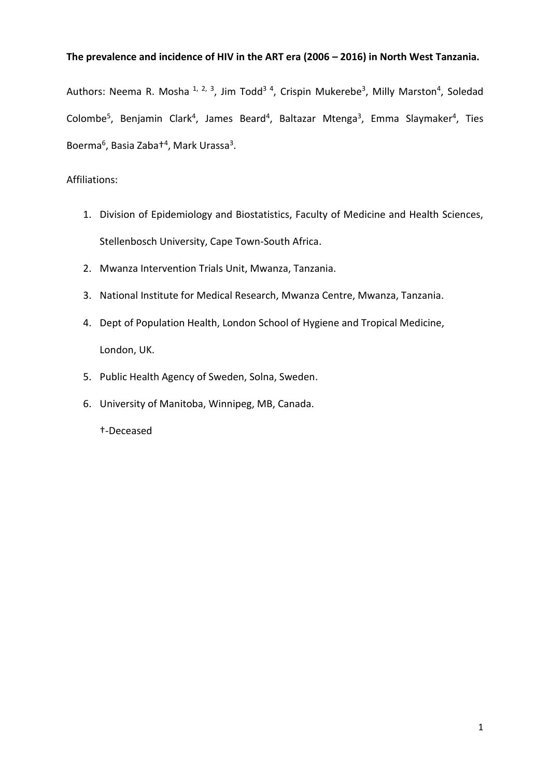# **The prevalence and incidence of HIV in the ART era (2006 – 2016) in North West Tanzania.**

Authors: Neema R. Mosha 1, 2, 3, Jim Todd<sup>34</sup>, Crispin Mukerebe<sup>3</sup>, Milly Marston<sup>4</sup>, Soledad Colombe<sup>5</sup>, Benjamin Clark<sup>4</sup>, James Beard<sup>4</sup>, Baltazar Mtenga<sup>3</sup>, Emma Slaymaker<sup>4</sup>, Ties Boerma<sup>6</sup>, Basia Zaba<sup>+4</sup>, Mark Urassa<sup>3</sup>.

# Affiliations:

- 1. Division of Epidemiology and Biostatistics, Faculty of Medicine and Health Sciences, Stellenbosch University, Cape Town-South Africa.
- 2. Mwanza Intervention Trials Unit, Mwanza, Tanzania.
- 3. National Institute for Medical Research, Mwanza Centre, Mwanza, Tanzania.
- 4. Dept of Population Health, London School of Hygiene and Tropical Medicine, London, UK.
- 5. Public Health Agency of Sweden, Solna, Sweden.
- 6. University of Manitoba, Winnipeg, MB, Canada.

†-Deceased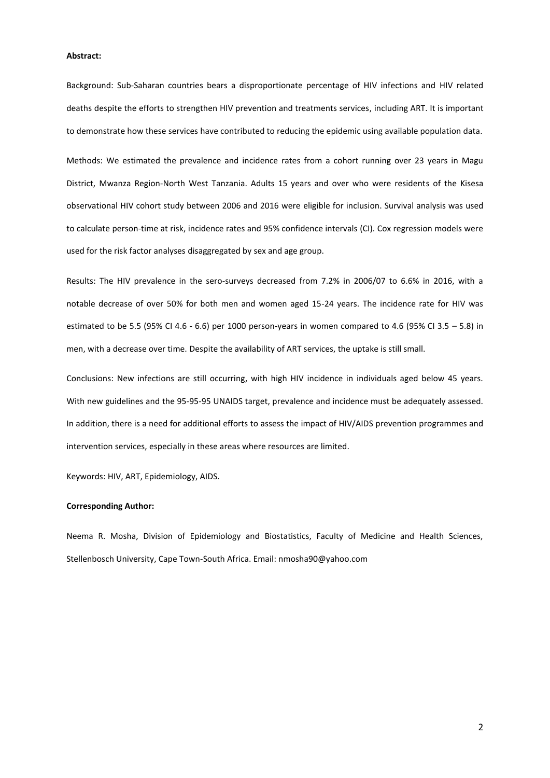#### **Abstract:**

Background: Sub-Saharan countries bears a disproportionate percentage of HIV infections and HIV related deaths despite the efforts to strengthen HIV prevention and treatments services, including ART. It is important to demonstrate how these services have contributed to reducing the epidemic using available population data.

Methods: We estimated the prevalence and incidence rates from a cohort running over 23 years in Magu District, Mwanza Region-North West Tanzania. Adults 15 years and over who were residents of the Kisesa observational HIV cohort study between 2006 and 2016 were eligible for inclusion. Survival analysis was used to calculate person-time at risk, incidence rates and 95% confidence intervals (CI). Cox regression models were used for the risk factor analyses disaggregated by sex and age group.

Results: The HIV prevalence in the sero-surveys decreased from 7.2% in 2006/07 to 6.6% in 2016, with a notable decrease of over 50% for both men and women aged 15-24 years. The incidence rate for HIV was estimated to be 5.5 (95% CI 4.6 - 6.6) per 1000 person-years in women compared to 4.6 (95% CI 3.5 – 5.8) in men, with a decrease over time. Despite the availability of ART services, the uptake is still small.

Conclusions: New infections are still occurring, with high HIV incidence in individuals aged below 45 years. With new guidelines and the 95-95-95 UNAIDS target, prevalence and incidence must be adequately assessed. In addition, there is a need for additional efforts to assess the impact of HIV/AIDS prevention programmes and intervention services, especially in these areas where resources are limited.

Keywords: HIV, ART, Epidemiology, AIDS.

### **Corresponding Author:**

Neema R. Mosha, Division of Epidemiology and Biostatistics, Faculty of Medicine and Health Sciences, Stellenbosch University, Cape Town-South Africa. Email: nmosha90@yahoo.com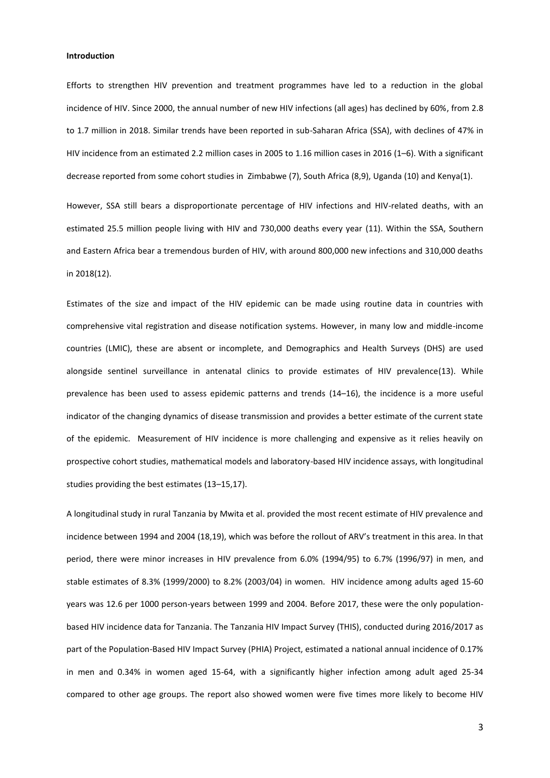#### **Introduction**

Efforts to strengthen HIV prevention and treatment programmes have led to a reduction in the global incidence of HIV. Since 2000, the annual number of new HIV infections (all ages) has declined by 60%, from 2.8 to 1.7 million in 2018. Similar trends have been reported in sub-Saharan Africa (SSA), with declines of 47% in HIV incidence from an estimated 2.2 million cases in 2005 to 1.16 million cases in 2016 (1–6). With a significant decrease reported from some cohort studies in Zimbabwe (7), South Africa (8,9), Uganda (10) and Kenya(1).

However, SSA still bears a disproportionate percentage of HIV infections and HIV-related deaths, with an estimated 25.5 million people living with HIV and 730,000 deaths every year (11). Within the SSA, Southern and Eastern Africa bear a tremendous burden of HIV, with around 800,000 new infections and 310,000 deaths in 2018(12).

Estimates of the size and impact of the HIV epidemic can be made using routine data in countries with comprehensive vital registration and disease notification systems. However, in many low and middle-income countries (LMIC), these are absent or incomplete, and Demographics and Health Surveys (DHS) are used alongside sentinel surveillance in antenatal clinics to provide estimates of HIV prevalence(13). While prevalence has been used to assess epidemic patterns and trends (14–16), the incidence is a more useful indicator of the changing dynamics of disease transmission and provides a better estimate of the current state of the epidemic. Measurement of HIV incidence is more challenging and expensive as it relies heavily on prospective cohort studies, mathematical models and laboratory-based HIV incidence assays, with longitudinal studies providing the best estimates (13–15,17).

A longitudinal study in rural Tanzania by Mwita et al. provided the most recent estimate of HIV prevalence and incidence between 1994 and 2004 (18,19), which was before the rollout of ARV's treatment in this area. In that period, there were minor increases in HIV prevalence from 6.0% (1994/95) to 6.7% (1996/97) in men, and stable estimates of 8.3% (1999/2000) to 8.2% (2003/04) in women. HIV incidence among adults aged 15-60 years was 12.6 per 1000 person-years between 1999 and 2004. Before 2017, these were the only populationbased HIV incidence data for Tanzania. The Tanzania HIV Impact Survey (THIS), conducted during 2016/2017 as part of the Population-Based HIV Impact Survey (PHIA) Project, estimated a national annual incidence of 0.17% in men and 0.34% in women aged 15-64, with a significantly higher infection among adult aged 25-34 compared to other age groups. The report also showed women were five times more likely to become HIV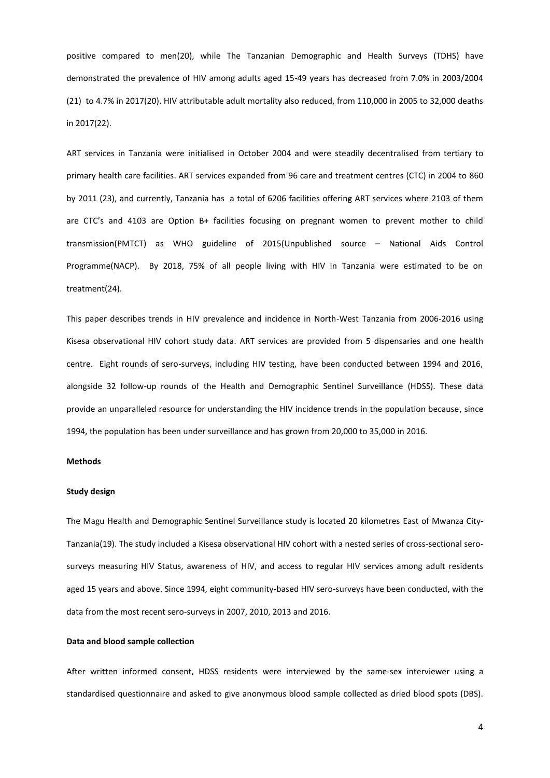positive compared to men(20), while The Tanzanian Demographic and Health Surveys (TDHS) have demonstrated the prevalence of HIV among adults aged 15-49 years has decreased from 7.0% in 2003/2004 (21) to 4.7% in 2017(20). HIV attributable adult mortality also reduced, from 110,000 in 2005 to 32,000 deaths in 2017(22).

ART services in Tanzania were initialised in October 2004 and were steadily decentralised from tertiary to primary health care facilities. ART services expanded from 96 care and treatment centres (CTC) in 2004 to 860 by 2011 (23), and currently, Tanzania has a total of 6206 facilities offering ART services where 2103 of them are CTC's and 4103 are Option B+ facilities focusing on pregnant women to prevent mother to child transmission(PMTCT) as WHO guideline of 2015(Unpublished source – National Aids Control Programme(NACP). By 2018, 75% of all people living with HIV in Tanzania were estimated to be on treatment(24).

This paper describes trends in HIV prevalence and incidence in North-West Tanzania from 2006-2016 using Kisesa observational HIV cohort study data. ART services are provided from 5 dispensaries and one health centre. Eight rounds of sero-surveys, including HIV testing, have been conducted between 1994 and 2016, alongside 32 follow-up rounds of the Health and Demographic Sentinel Surveillance (HDSS). These data provide an unparalleled resource for understanding the HIV incidence trends in the population because, since 1994, the population has been under surveillance and has grown from 20,000 to 35,000 in 2016.

## **Methods**

### **Study design**

The Magu Health and Demographic Sentinel Surveillance study is located 20 kilometres East of Mwanza City-Tanzania(19). The study included a Kisesa observational HIV cohort with a nested series of cross-sectional serosurveys measuring HIV Status, awareness of HIV, and access to regular HIV services among adult residents aged 15 years and above. Since 1994, eight community-based HIV sero-surveys have been conducted, with the data from the most recent sero-surveys in 2007, 2010, 2013 and 2016.

#### **Data and blood sample collection**

After written informed consent, HDSS residents were interviewed by the same-sex interviewer using a standardised questionnaire and asked to give anonymous blood sample collected as dried blood spots (DBS).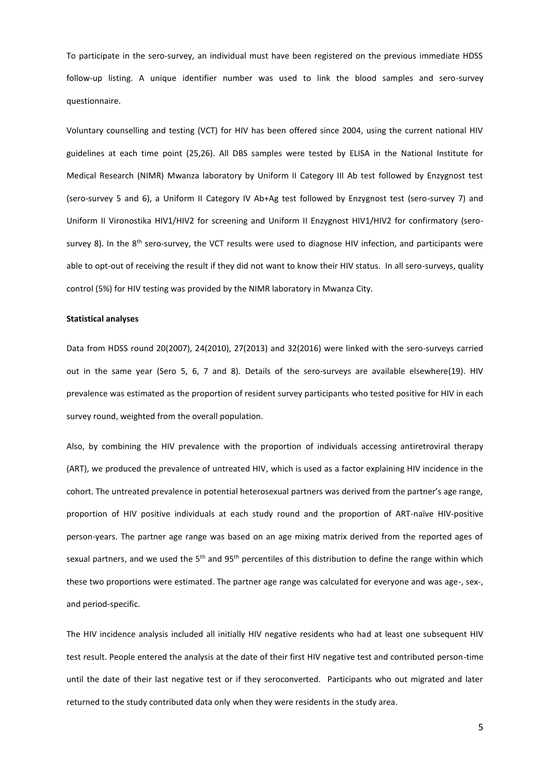To participate in the sero-survey, an individual must have been registered on the previous immediate HDSS follow-up listing. A unique identifier number was used to link the blood samples and sero-survey questionnaire.

Voluntary counselling and testing (VCT) for HIV has been offered since 2004, using the current national HIV guidelines at each time point (25,26). All DBS samples were tested by ELISA in the National Institute for Medical Research (NIMR) Mwanza laboratory by Uniform II Category III Ab test followed by Enzygnost test (sero-survey 5 and 6), a Uniform II Category IV Ab+Ag test followed by Enzygnost test (sero-survey 7) and Uniform II Vironostika HIV1/HIV2 for screening and Uniform II Enzygnost HIV1/HIV2 for confirmatory (serosurvey 8). In the  $8<sup>th</sup>$  sero-survey, the VCT results were used to diagnose HIV infection, and participants were able to opt-out of receiving the result if they did not want to know their HIV status. In all sero-surveys, quality control (5%) for HIV testing was provided by the NIMR laboratory in Mwanza City.

#### **Statistical analyses**

Data from HDSS round 20(2007), 24(2010), 27(2013) and 32(2016) were linked with the sero-surveys carried out in the same year (Sero 5, 6, 7 and 8). Details of the sero-surveys are available elsewhere(19). HIV prevalence was estimated as the proportion of resident survey participants who tested positive for HIV in each survey round, weighted from the overall population.

Also, by combining the HIV prevalence with the proportion of individuals accessing antiretroviral therapy (ART), we produced the prevalence of untreated HIV, which is used as a factor explaining HIV incidence in the cohort. The untreated prevalence in potential heterosexual partners was derived from the partner's age range, proportion of HIV positive individuals at each study round and the proportion of ART-naïve HIV-positive person-years. The partner age range was based on an age mixing matrix derived from the reported ages of sexual partners, and we used the 5<sup>th</sup> and 95<sup>th</sup> percentiles of this distribution to define the range within which these two proportions were estimated. The partner age range was calculated for everyone and was age-, sex-, and period-specific.

The HIV incidence analysis included all initially HIV negative residents who had at least one subsequent HIV test result. People entered the analysis at the date of their first HIV negative test and contributed person-time until the date of their last negative test or if they seroconverted. Participants who out migrated and later returned to the study contributed data only when they were residents in the study area.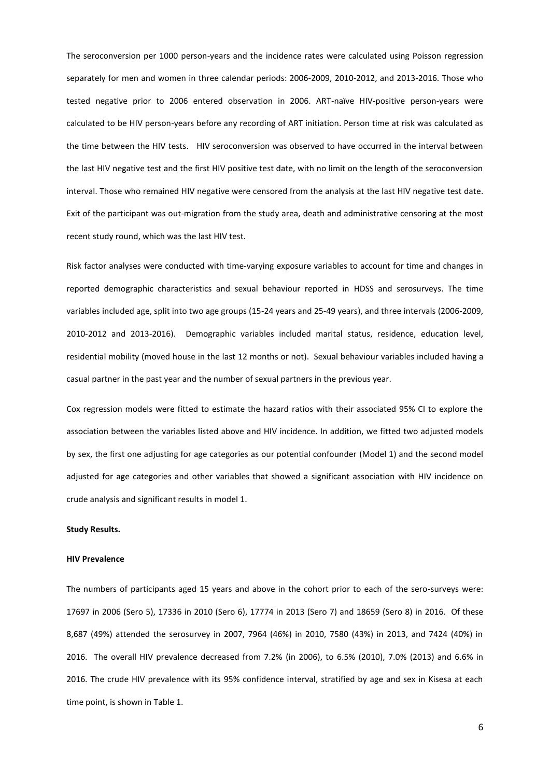The seroconversion per 1000 person-years and the incidence rates were calculated using Poisson regression separately for men and women in three calendar periods: 2006-2009, 2010-2012, and 2013-2016. Those who tested negative prior to 2006 entered observation in 2006. ART-naïve HIV-positive person-years were calculated to be HIV person-years before any recording of ART initiation. Person time at risk was calculated as the time between the HIV tests. HIV seroconversion was observed to have occurred in the interval between the last HIV negative test and the first HIV positive test date, with no limit on the length of the seroconversion interval. Those who remained HIV negative were censored from the analysis at the last HIV negative test date. Exit of the participant was out-migration from the study area, death and administrative censoring at the most recent study round, which was the last HIV test.

Risk factor analyses were conducted with time-varying exposure variables to account for time and changes in reported demographic characteristics and sexual behaviour reported in HDSS and serosurveys. The time variables included age, split into two age groups (15-24 years and 25-49 years), and three intervals (2006-2009, 2010-2012 and 2013-2016). Demographic variables included marital status, residence, education level, residential mobility (moved house in the last 12 months or not). Sexual behaviour variables included having a casual partner in the past year and the number of sexual partners in the previous year.

Cox regression models were fitted to estimate the hazard ratios with their associated 95% CI to explore the association between the variables listed above and HIV incidence. In addition, we fitted two adjusted models by sex, the first one adjusting for age categories as our potential confounder (Model 1) and the second model adjusted for age categories and other variables that showed a significant association with HIV incidence on crude analysis and significant results in model 1.

## **Study Results.**

#### **HIV Prevalence**

The numbers of participants aged 15 years and above in the cohort prior to each of the sero-surveys were: 17697 in 2006 (Sero 5), 17336 in 2010 (Sero 6), 17774 in 2013 (Sero 7) and 18659 (Sero 8) in 2016. Of these 8,687 (49%) attended the serosurvey in 2007, 7964 (46%) in 2010, 7580 (43%) in 2013, and 7424 (40%) in 2016. The overall HIV prevalence decreased from 7.2% (in 2006), to 6.5% (2010), 7.0% (2013) and 6.6% in 2016. The crude HIV prevalence with its 95% confidence interval, stratified by age and sex in Kisesa at each time point, is shown in Table 1.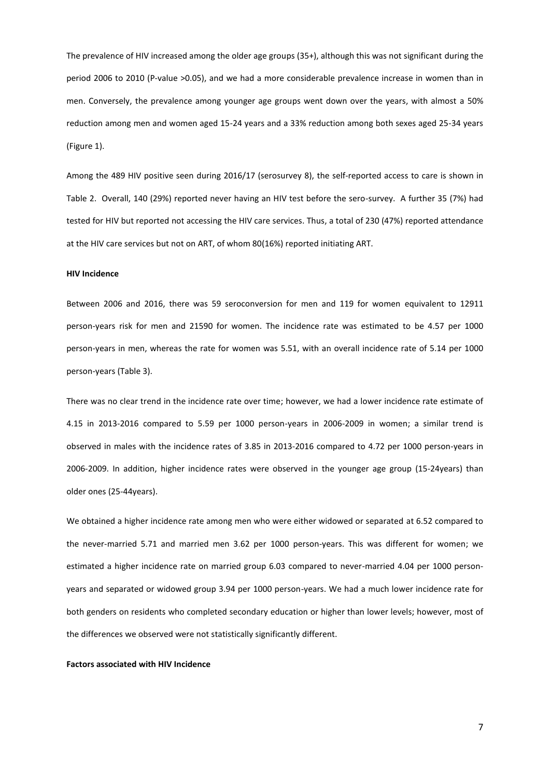The prevalence of HIV increased among the older age groups (35+), although this was not significant during the period 2006 to 2010 (P-value >0.05), and we had a more considerable prevalence increase in women than in men. Conversely, the prevalence among younger age groups went down over the years, with almost a 50% reduction among men and women aged 15-24 years and a 33% reduction among both sexes aged 25-34 years (Figure 1).

Among the 489 HIV positive seen during 2016/17 (serosurvey 8), the self-reported access to care is shown in Table 2. Overall, 140 (29%) reported never having an HIV test before the sero-survey. A further 35 (7%) had tested for HIV but reported not accessing the HIV care services. Thus, a total of 230 (47%) reported attendance at the HIV care services but not on ART, of whom 80(16%) reported initiating ART.

#### **HIV Incidence**

Between 2006 and 2016, there was 59 seroconversion for men and 119 for women equivalent to 12911 person-years risk for men and 21590 for women. The incidence rate was estimated to be 4.57 per 1000 person-years in men, whereas the rate for women was 5.51, with an overall incidence rate of 5.14 per 1000 person-years (Table 3).

There was no clear trend in the incidence rate over time; however, we had a lower incidence rate estimate of 4.15 in 2013-2016 compared to 5.59 per 1000 person-years in 2006-2009 in women; a similar trend is observed in males with the incidence rates of 3.85 in 2013-2016 compared to 4.72 per 1000 person-years in 2006-2009. In addition, higher incidence rates were observed in the younger age group (15-24years) than older ones (25-44years).

We obtained a higher incidence rate among men who were either widowed or separated at 6.52 compared to the never-married 5.71 and married men 3.62 per 1000 person-years. This was different for women; we estimated a higher incidence rate on married group 6.03 compared to never-married 4.04 per 1000 personyears and separated or widowed group 3.94 per 1000 person-years. We had a much lower incidence rate for both genders on residents who completed secondary education or higher than lower levels; however, most of the differences we observed were not statistically significantly different.

## **Factors associated with HIV Incidence**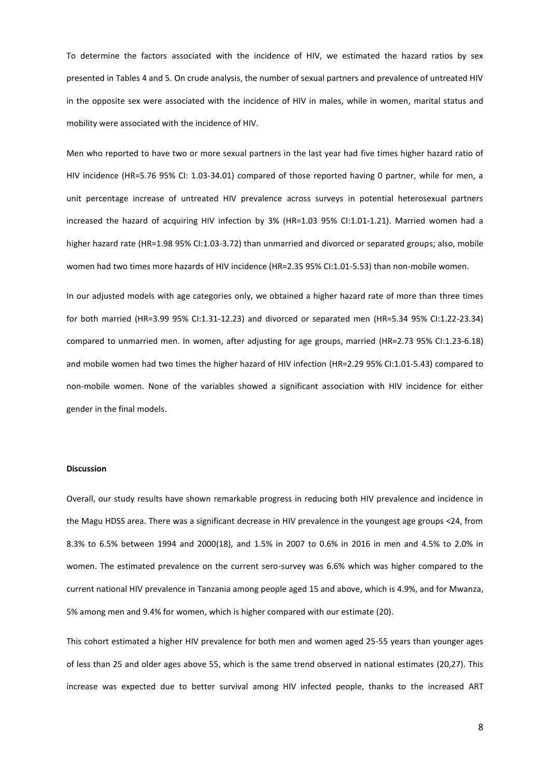To determine the factors associated with the incidence of HIV, we estimated the hazard ratios by sex presented in Tables 4 and 5. On crude analysis, the number of sexual partners and prevalence of untreated HIV in the opposite sex were associated with the incidence of HIV in males, while in women, marital status and mobility were associated with the incidence of HIV.

Men who reported to have two or more sexual partners in the last year had five times higher hazard ratio of HIV incidence (HR=5.76 95% CI: 1.03-34.01) compared of those reported having 0 partner, while for men, a unit percentage increase of untreated HIV prevalence across surveys in potential heterosexual partners increased the hazard of acquiring HIV infection by 3% (HR=1.03 95% CI:1.01-1.21). Married women had a higher hazard rate (HR=1.98 95% CI:1.03-3.72) than unmarried and divorced or separated groups; also, mobile women had two times more hazards of HIV incidence (HR=2.35 95% CI:1.01-5.53) than non-mobile women.

In our adjusted models with age categories only, we obtained a higher hazard rate of more than three times for both married (HR=3.99 95% CI:1.31-12.23) and divorced or separated men (HR=5.34 95% CI:1.22-23.34) compared to unmarried men. In women, after adjusting for age groups, married (HR=2.73 95% CI:1.23-6.18) and mobile women had two times the higher hazard of HIV infection (HR=2.29 95% CI:1.01-5.43) compared to non-mobile women. None of the variables showed a significant association with HIV incidence for either gender in the final models.

#### **Discussion**

Overall, our study results have shown remarkable progress in reducing both HIV prevalence and incidence in the Magu HDSS area. There was a significant decrease in HIV prevalence in the youngest age groups <24, from 8.3% to 6.5% between 1994 and 2000(18), and 1.5% in 2007 to 0.6% in 2016 in men and 4.5% to 2.0% in women. The estimated prevalence on the current sero-survey was 6.6% which was higher compared to the current national HIV prevalence in Tanzania among people aged 15 and above, which is 4.9%, and for Mwanza, 5% among men and 9.4% for women, which is higher compared with our estimate (20).

This cohort estimated a higher HIV prevalence for both men and women aged 25-55 years than younger ages of less than 25 and older ages above 55, which is the same trend observed in national estimates (20,27). This increase was expected due to better survival among HIV infected people, thanks to the increased ART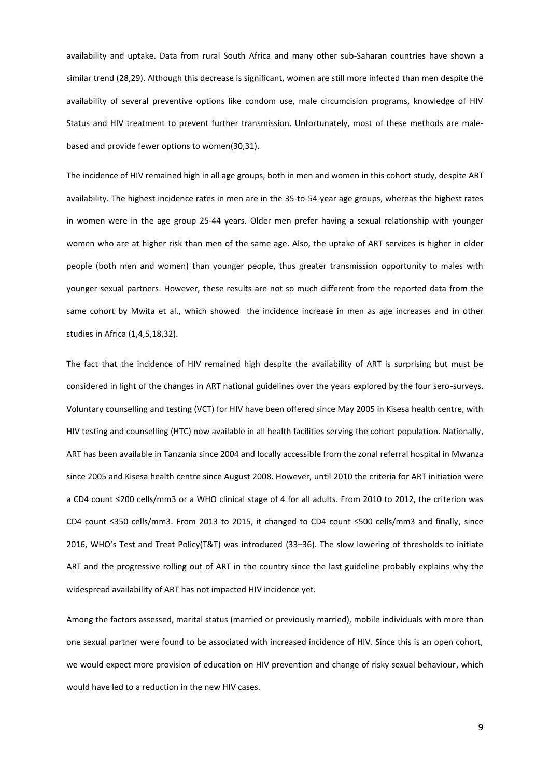availability and uptake. Data from rural South Africa and many other sub-Saharan countries have shown a similar trend (28,29). Although this decrease is significant, women are still more infected than men despite the availability of several preventive options like condom use, male circumcision programs, knowledge of HIV Status and HIV treatment to prevent further transmission. Unfortunately, most of these methods are malebased and provide fewer options to women(30,31).

The incidence of HIV remained high in all age groups, both in men and women in this cohort study, despite ART availability. The highest incidence rates in men are in the 35-to-54-year age groups, whereas the highest rates in women were in the age group 25-44 years. Older men prefer having a sexual relationship with younger women who are at higher risk than men of the same age. Also, the uptake of ART services is higher in older people (both men and women) than younger people, thus greater transmission opportunity to males with younger sexual partners. However, these results are not so much different from the reported data from the same cohort by Mwita et al., which showed the incidence increase in men as age increases and in other studies in Africa (1,4,5,18,32).

The fact that the incidence of HIV remained high despite the availability of ART is surprising but must be considered in light of the changes in ART national guidelines over the years explored by the four sero-surveys. Voluntary counselling and testing (VCT) for HIV have been offered since May 2005 in Kisesa health centre, with HIV testing and counselling (HTC) now available in all health facilities serving the cohort population. Nationally, ART has been available in Tanzania since 2004 and locally accessible from the zonal referral hospital in Mwanza since 2005 and Kisesa health centre since August 2008. However, until 2010 the criteria for ART initiation were a CD4 count ≤200 cells/mm3 or a WHO clinical stage of 4 for all adults. From 2010 to 2012, the criterion was CD4 count ≤350 cells/mm3. From 2013 to 2015, it changed to CD4 count ≤500 cells/mm3 and finally, since 2016, WHO's Test and Treat Policy(T&T) was introduced (33–36). The slow lowering of thresholds to initiate ART and the progressive rolling out of ART in the country since the last guideline probably explains why the widespread availability of ART has not impacted HIV incidence yet.

Among the factors assessed, marital status (married or previously married), mobile individuals with more than one sexual partner were found to be associated with increased incidence of HIV. Since this is an open cohort, we would expect more provision of education on HIV prevention and change of risky sexual behaviour, which would have led to a reduction in the new HIV cases.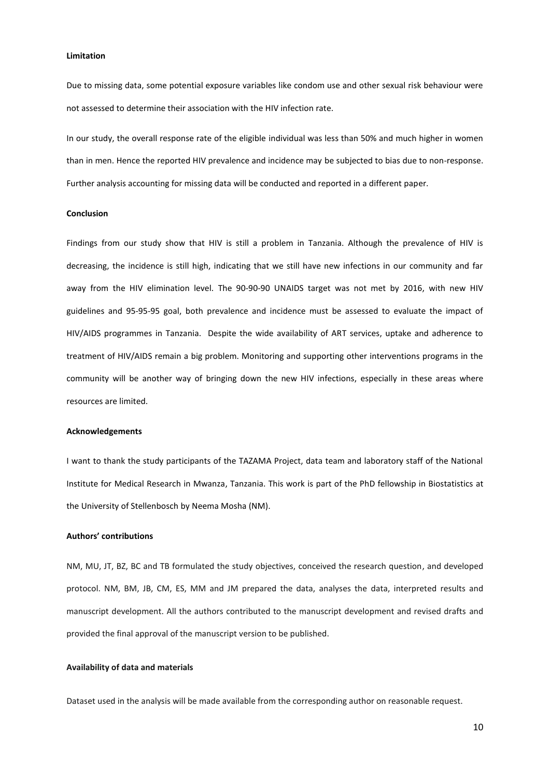### **Limitation**

Due to missing data, some potential exposure variables like condom use and other sexual risk behaviour were not assessed to determine their association with the HIV infection rate.

In our study, the overall response rate of the eligible individual was less than 50% and much higher in women than in men. Hence the reported HIV prevalence and incidence may be subjected to bias due to non-response. Further analysis accounting for missing data will be conducted and reported in a different paper.

### **Conclusion**

Findings from our study show that HIV is still a problem in Tanzania. Although the prevalence of HIV is decreasing, the incidence is still high, indicating that we still have new infections in our community and far away from the HIV elimination level. The 90-90-90 UNAIDS target was not met by 2016, with new HIV guidelines and 95-95-95 goal, both prevalence and incidence must be assessed to evaluate the impact of HIV/AIDS programmes in Tanzania. Despite the wide availability of ART services, uptake and adherence to treatment of HIV/AIDS remain a big problem. Monitoring and supporting other interventions programs in the community will be another way of bringing down the new HIV infections, especially in these areas where resources are limited.

### **Acknowledgements**

I want to thank the study participants of the TAZAMA Project, data team and laboratory staff of the National Institute for Medical Research in Mwanza, Tanzania. This work is part of the PhD fellowship in Biostatistics at the University of Stellenbosch by Neema Mosha (NM).

#### **Authors' contributions**

NM, MU, JT, BZ, BC and TB formulated the study objectives, conceived the research question, and developed protocol. NM, BM, JB, CM, ES, MM and JM prepared the data, analyses the data, interpreted results and manuscript development. All the authors contributed to the manuscript development and revised drafts and provided the final approval of the manuscript version to be published.

### **Availability of data and materials**

Dataset used in the analysis will be made available from the corresponding author on reasonable request.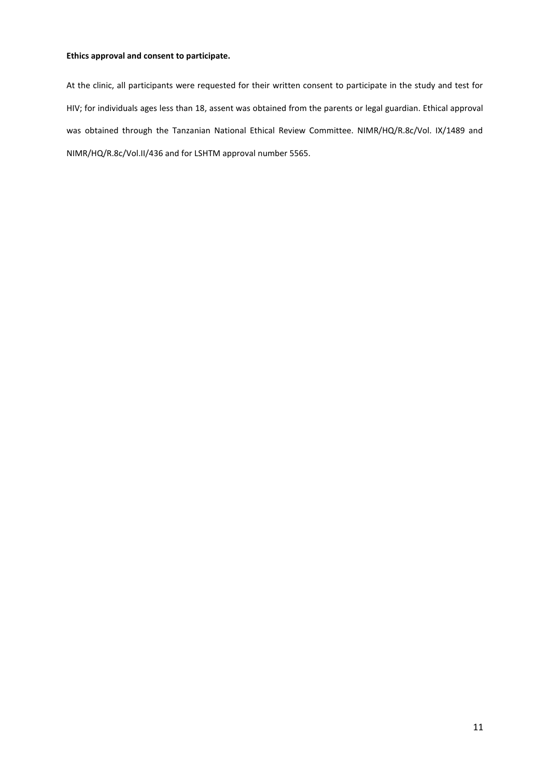## **Ethics approval and consent to participate.**

At the clinic, all participants were requested for their written consent to participate in the study and test for HIV; for individuals ages less than 18, assent was obtained from the parents or legal guardian. Ethical approval was obtained through the Tanzanian National Ethical Review Committee. NIMR/HQ/R.8c/Vol. IX/1489 and NIMR/HQ/R.8c/Vol.II/436 and for LSHTM approval number 5565.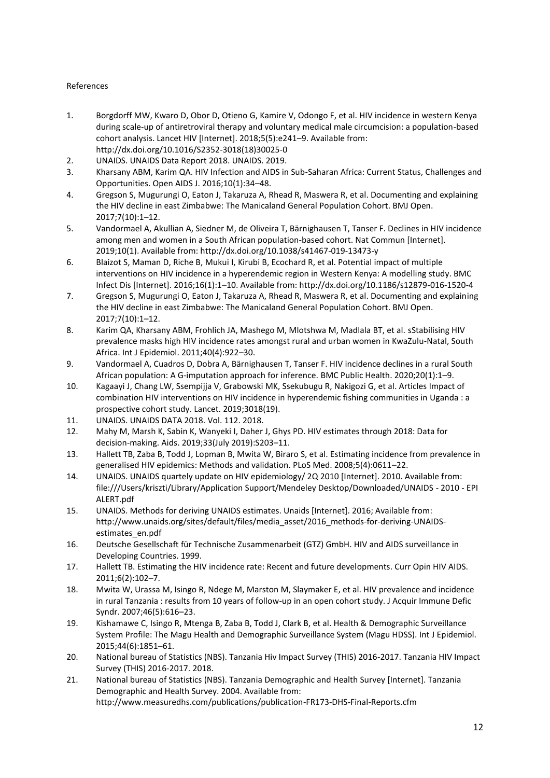# References

- 1. Borgdorff MW, Kwaro D, Obor D, Otieno G, Kamire V, Odongo F, et al. HIV incidence in western Kenya during scale-up of antiretroviral therapy and voluntary medical male circumcision: a population-based cohort analysis. Lancet HIV [Internet]. 2018;5(5):e241–9. Available from: http://dx.doi.org/10.1016/S2352-3018(18)30025-0
- 2. UNAIDS. UNAIDS Data Report 2018. UNAIDS. 2019.
- 3. Kharsany ABM, Karim QA. HIV Infection and AIDS in Sub-Saharan Africa: Current Status, Challenges and Opportunities. Open AIDS J. 2016;10(1):34–48.
- 4. Gregson S, Mugurungi O, Eaton J, Takaruza A, Rhead R, Maswera R, et al. Documenting and explaining the HIV decline in east Zimbabwe: The Manicaland General Population Cohort. BMJ Open. 2017;7(10):1–12.
- 5. Vandormael A, Akullian A, Siedner M, de Oliveira T, Bärnighausen T, Tanser F. Declines in HIV incidence among men and women in a South African population-based cohort. Nat Commun [Internet]. 2019;10(1). Available from: http://dx.doi.org/10.1038/s41467-019-13473-y
- 6. Blaizot S, Maman D, Riche B, Mukui I, Kirubi B, Ecochard R, et al. Potential impact of multiple interventions on HIV incidence in a hyperendemic region in Western Kenya: A modelling study. BMC Infect Dis [Internet]. 2016;16(1):1–10. Available from: http://dx.doi.org/10.1186/s12879-016-1520-4
- 7. Gregson S, Mugurungi O, Eaton J, Takaruza A, Rhead R, Maswera R, et al. Documenting and explaining the HIV decline in east Zimbabwe: The Manicaland General Population Cohort. BMJ Open. 2017;7(10):1–12.
- 8. Karim QA, Kharsany ABM, Frohlich JA, Mashego M, Mlotshwa M, Madlala BT, et al. sStabilising HIV prevalence masks high HIV incidence rates amongst rural and urban women in KwaZulu-Natal, South Africa. Int J Epidemiol. 2011;40(4):922–30.
- 9. Vandormael A, Cuadros D, Dobra A, Bärnighausen T, Tanser F. HIV incidence declines in a rural South African population: A G-imputation approach for inference. BMC Public Health. 2020;20(1):1–9.
- 10. Kagaayi J, Chang LW, Ssempijja V, Grabowski MK, Ssekubugu R, Nakigozi G, et al. Articles Impact of combination HIV interventions on HIV incidence in hyperendemic fishing communities in Uganda : a prospective cohort study. Lancet. 2019;3018(19).
- 11. UNAIDS. UNAIDS DATA 2018. Vol. 112. 2018.
- 12. Mahy M, Marsh K, Sabin K, Wanyeki I, Daher J, Ghys PD. HIV estimates through 2018: Data for decision-making. Aids. 2019;33(July 2019):S203–11.
- 13. Hallett TB, Zaba B, Todd J, Lopman B, Mwita W, Biraro S, et al. Estimating incidence from prevalence in generalised HIV epidemics: Methods and validation. PLoS Med. 2008;5(4):0611–22.
- 14. UNAIDS. UNAIDS quartely update on HIV epidemiology/ 2Q 2010 [Internet]. 2010. Available from: file:///Users/kriszti/Library/Application Support/Mendeley Desktop/Downloaded/UNAIDS - 2010 - EPI ALERT.pdf
- 15. UNAIDS. Methods for deriving UNAIDS estimates. Unaids [Internet]. 2016; Available from: http://www.unaids.org/sites/default/files/media\_asset/2016\_methods-for-deriving-UNAIDSestimates\_en.pdf
- 16. Deutsche Gesellschaft für Technische Zusammenarbeit (GTZ) GmbH. HIV and AIDS surveillance in Developing Countries. 1999.
- 17. Hallett TB. Estimating the HIV incidence rate: Recent and future developments. Curr Opin HIV AIDS. 2011;6(2):102–7.
- 18. Mwita W, Urassa M, Isingo R, Ndege M, Marston M, Slaymaker E, et al. HIV prevalence and incidence in rural Tanzania : results from 10 years of follow-up in an open cohort study. J Acquir Immune Defic Syndr. 2007;46(5):616–23.
- 19. Kishamawe C, Isingo R, Mtenga B, Zaba B, Todd J, Clark B, et al. Health & Demographic Surveillance System Profile: The Magu Health and Demographic Surveillance System (Magu HDSS). Int J Epidemiol. 2015;44(6):1851–61.
- 20. National bureau of Statistics (NBS). Tanzania Hiv Impact Survey (THIS) 2016-2017. Tanzania HIV Impact Survey (THIS) 2016-2017. 2018.
- 21. National bureau of Statistics (NBS). Tanzania Demographic and Health Survey [Internet]. Tanzania Demographic and Health Survey. 2004. Available from: http://www.measuredhs.com/publications/publication-FR173-DHS-Final-Reports.cfm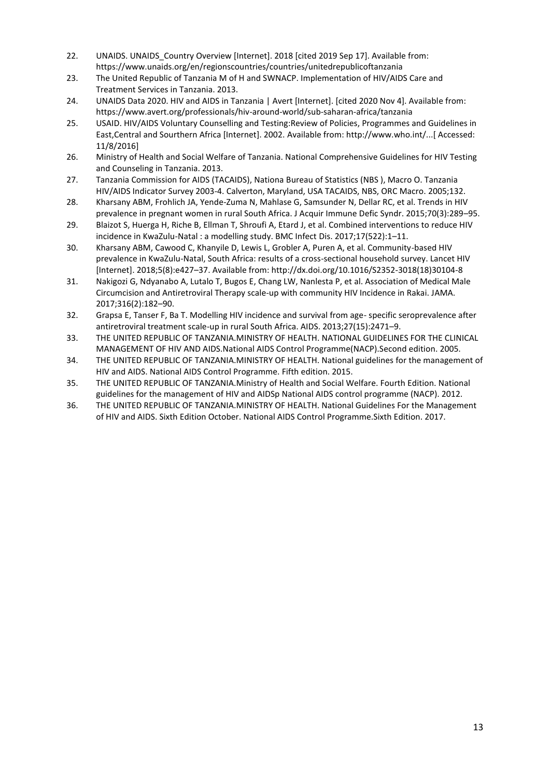- 22. UNAIDS. UNAIDS\_Country Overview [Internet]. 2018 [cited 2019 Sep 17]. Available from: https://www.unaids.org/en/regionscountries/countries/unitedrepublicoftanzania
- 23. The United Republic of Tanzania M of H and SWNACP. Implementation of HIV/AIDS Care and Treatment Services in Tanzania. 2013.
- 24. UNAIDS Data 2020. HIV and AIDS in Tanzania | Avert [Internet]. [cited 2020 Nov 4]. Available from: https://www.avert.org/professionals/hiv-around-world/sub-saharan-africa/tanzania
- 25. USAID. HIV/AIDS Voluntary Counselling and Testing:Review of Policies, Programmes and Guidelines in East,Central and Sourthern Africa [Internet]. 2002. Available from: http://www.who.int/...[ Accessed: 11/8/2016]
- 26. Ministry of Health and Social Welfare of Tanzania. National Comprehensive Guidelines for HIV Testing and Counseling in Tanzania. 2013.
- 27. Tanzania Commission for AIDS (TACAIDS), Nationa Bureau of Statistics (NBS ), Macro O. Tanzania HIV/AIDS Indicator Survey 2003-4. Calverton, Maryland, USA TACAIDS, NBS, ORC Macro. 2005;132.
- 28. Kharsany ABM, Frohlich JA, Yende-Zuma N, Mahlase G, Samsunder N, Dellar RC, et al. Trends in HIV prevalence in pregnant women in rural South Africa. J Acquir Immune Defic Syndr. 2015;70(3):289–95.
- 29. Blaizot S, Huerga H, Riche B, Ellman T, Shroufi A, Etard J, et al. Combined interventions to reduce HIV incidence in KwaZulu-Natal : a modelling study. BMC Infect Dis. 2017;17(522):1–11.
- 30. Kharsany ABM, Cawood C, Khanyile D, Lewis L, Grobler A, Puren A, et al. Community-based HIV prevalence in KwaZulu-Natal, South Africa: results of a cross-sectional household survey. Lancet HIV [Internet]. 2018;5(8):e427–37. Available from: http://dx.doi.org/10.1016/S2352-3018(18)30104-8
- 31. Nakigozi G, Ndyanabo A, Lutalo T, Bugos E, Chang LW, Nanlesta P, et al. Association of Medical Male Circumcision and Antiretroviral Therapy scale-up with community HIV Incidence in Rakai. JAMA. 2017;316(2):182–90.
- 32. Grapsa E, Tanser F, Ba T. Modelling HIV incidence and survival from age- specific seroprevalence after antiretroviral treatment scale-up in rural South Africa. AIDS. 2013;27(15):2471–9.
- 33. THE UNITED REPUBLIC OF TANZANIA.MINISTRY OF HEALTH. NATIONAL GUIDELINES FOR THE CLINICAL MANAGEMENT OF HIV AND AIDS.National AIDS Control Programme(NACP).Second edition. 2005.
- 34. THE UNITED REPUBLIC OF TANZANIA.MINISTRY OF HEALTH. National guidelines for the management of HIV and AIDS. National AIDS Control Programme. Fifth edition. 2015.
- 35. THE UNITED REPUBLIC OF TANZANIA.Ministry of Health and Social Welfare. Fourth Edition. National guidelines for the management of HIV and AIDSp National AIDS control programme (NACP). 2012.
- 36. THE UNITED REPUBLIC OF TANZANIA.MINISTRY OF HEALTH. National Guidelines For the Management of HIV and AIDS. Sixth Edition October. National AIDS Control Programme.Sixth Edition. 2017.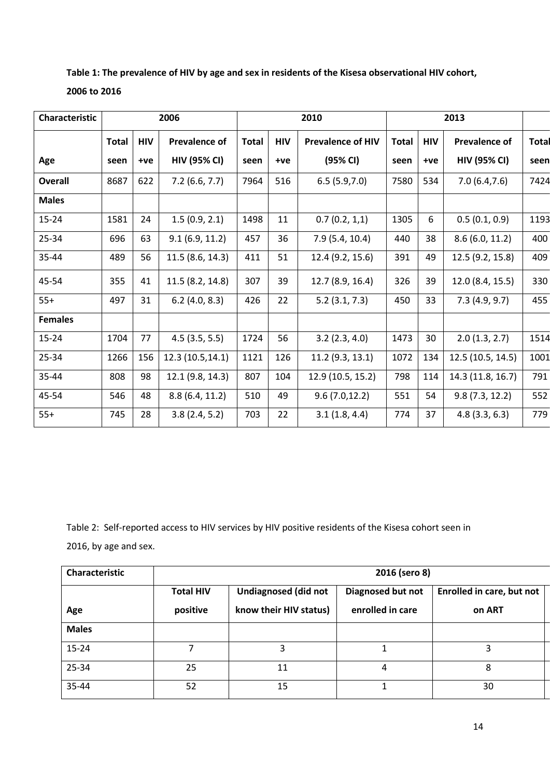| Table 1: The prevalence of HIV by age and sex in residents of the Kisesa observational HIV cohort, |  |
|----------------------------------------------------------------------------------------------------|--|
| 2006 to 2016                                                                                       |  |

| Characteristic |              |            | 2006                | 2010         |            | 2013                     |              |            |                      |              |
|----------------|--------------|------------|---------------------|--------------|------------|--------------------------|--------------|------------|----------------------|--------------|
|                | <b>Total</b> | <b>HIV</b> | Prevalence of       | <b>Total</b> | <b>HIV</b> | <b>Prevalence of HIV</b> | <b>Total</b> | <b>HIV</b> | <b>Prevalence of</b> | <b>Total</b> |
| Age            | seen         | $+ve$      | <b>HIV (95% CI)</b> | seen         | +ve        | (95% CI)                 | seen         | $+ve$      | <b>HIV (95% CI)</b>  | seen         |
| <b>Overall</b> | 8687         | 622        | 7.2(6.6, 7.7)       | 7964         | 516        | 6.5(5.9,7.0)             | 7580         | 534        | 7.0(6.4, 7.6)        | 7424         |
| <b>Males</b>   |              |            |                     |              |            |                          |              |            |                      |              |
| $15 - 24$      | 1581         | 24         | 1.5(0.9, 2.1)       | 1498         | 11         | 0.7(0.2, 1, 1)           | 1305         | 6          | 0.5(0.1, 0.9)        | 1193         |
| 25-34          | 696          | 63         | 9.1(6.9, 11.2)      | 457          | 36         | 7.9(5.4, 10.4)           | 440          | 38         | 8.6(6.0, 11.2)       | 400          |
| 35-44          | 489          | 56         | 11.5(8.6, 14.3)     | 411          | 51         | 12.4 (9.2, 15.6)         | 391          | 49         | 12.5 (9.2, 15.8)     | 409          |
| 45-54          | 355          | 41         | 11.5 (8.2, 14.8)    | 307          | 39         | 12.7(8.9, 16.4)          | 326          | 39         | 12.0 (8.4, 15.5)     | 330          |
| $55+$          | 497          | 31         | 6.2(4.0, 8.3)       | 426          | 22         | 5.2(3.1, 7.3)            | 450          | 33         | 7.3(4.9, 9.7)        | 455          |
| <b>Females</b> |              |            |                     |              |            |                          |              |            |                      |              |
| $15 - 24$      | 1704         | 77         | 4.5(3.5, 5.5)       | 1724         | 56         | 3.2(2.3, 4.0)            | 1473         | 30         | 2.0(1.3, 2.7)        | 1514         |
| 25-34          | 1266         | 156        | 12.3 (10.5,14.1)    | 1121         | 126        | 11.2(9.3, 13.1)          | 1072         | 134        | 12.5 (10.5, 14.5)    | 1001         |
| 35-44          | 808          | 98         | 12.1 (9.8, 14.3)    | 807          | 104        | 12.9 (10.5, 15.2)        | 798          | 114        | 14.3 (11.8, 16.7)    | 791          |
| 45-54          | 546          | 48         | 8.8(6.4, 11.2)      | 510          | 49         | 9.6(7.0, 12.2)           | 551          | 54         | 9.8(7.3, 12.2)       | 552          |
| $55+$          | 745          | 28         | 3.8(2.4, 5.2)       | 703          | 22         | 3.1(1.8, 4.4)            | 774          | 37         | 4.8(3.3, 6.3)        | 779          |

Table 2: Self-reported access to HIV services by HIV positive residents of the Kisesa cohort seen in 2016, by age and sex.

| Characteristic | 2016 (sero 8)                |                                                       |                                       |                                     |  |
|----------------|------------------------------|-------------------------------------------------------|---------------------------------------|-------------------------------------|--|
| Age            | <b>Total HIV</b><br>positive | <b>Undiagnosed (did not</b><br>know their HIV status) | Diagnosed but not<br>enrolled in care | Enrolled in care, but not<br>on ART |  |
| <b>Males</b>   |                              |                                                       |                                       |                                     |  |
| 15-24          |                              | 3                                                     |                                       |                                     |  |
| 25-34          | 25                           | 11                                                    | 4                                     | 8                                   |  |
| 35-44          | 52                           | 15                                                    |                                       | 30                                  |  |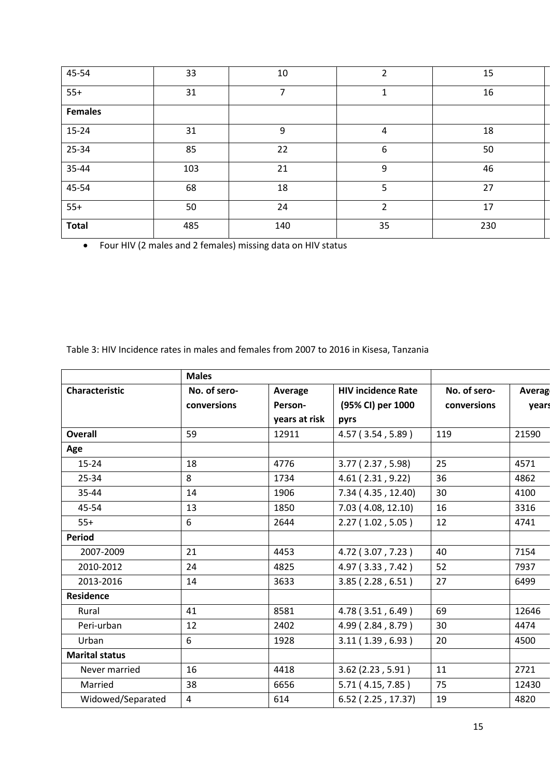| 45-54          | 33  | 10             | $\overline{2}$   | 15  |
|----------------|-----|----------------|------------------|-----|
| $55+$          | 31  | $\overline{ }$ | $\mathbf{1}$     | 16  |
| <b>Females</b> |     |                |                  |     |
| $15 - 24$      | 31  | 9              | 4                | 18  |
| 25-34          | 85  | 22             | $\boldsymbol{6}$ | 50  |
| 35-44          | 103 | 21             | 9                | 46  |
| 45-54          | 68  | 18             | 5                | 27  |
| $55+$          | 50  | 24             | $\overline{2}$   | 17  |
| <b>Total</b>   | 485 | 140            | 35               | 230 |

• Four HIV (2 males and 2 females) missing data on HIV status

Table 3: HIV Incidence rates in males and females from 2007 to 2016 in Kisesa, Tanzania

|                       | <b>Males</b>   |               |                           |              |        |
|-----------------------|----------------|---------------|---------------------------|--------------|--------|
| Characteristic        | No. of sero-   | Average       | <b>HIV incidence Rate</b> | No. of sero- | Averag |
|                       | conversions    | Person-       | (95% CI) per 1000         | conversions  | years  |
|                       |                | years at risk | pyrs                      |              |        |
| Overall               | 59             | 12911         | 4.57 (3.54, 5.89)         | 119          | 21590  |
| Age                   |                |               |                           |              |        |
| $15 - 24$             | 18             | 4776          | 3.77(2.37, 5.98)          | 25           | 4571   |
| 25-34                 | 8              | 1734          | 4.61(2.31, 9.22)          | 36           | 4862   |
| 35-44                 | 14             | 1906          | 7.34 (4.35, 12.40)        | 30           | 4100   |
| 45-54                 | 13             | 1850          | 7.03 (4.08, 12.10)        | 16           | 3316   |
| $55+$                 | 6              | 2644          | 2.27(1.02, 5.05)          | 12           | 4741   |
| <b>Period</b>         |                |               |                           |              |        |
| 2007-2009             | 21             | 4453          | 4.72 (3.07, 7.23)         | 40           | 7154   |
| 2010-2012             | 24             | 4825          | 4.97 (3.33, 7.42)         | 52           | 7937   |
| 2013-2016             | 14             | 3633          | 3.85(2.28, 6.51)          | 27           | 6499   |
| <b>Residence</b>      |                |               |                           |              |        |
| Rural                 | 41             | 8581          | 4.78 (3.51, 6.49)         | 69           | 12646  |
| Peri-urban            | 12             | 2402          | 4.99 (2.84, 8.79)         | 30           | 4474   |
| Urban                 | 6              | 1928          | 3.11(1.39, 6.93)          | 20           | 4500   |
| <b>Marital status</b> |                |               |                           |              |        |
| Never married         | 16             | 4418          | 3.62(2.23, 5.91)          | 11           | 2721   |
| Married               | 38             | 6656          | 5.71 (4.15, 7.85)         | 75           | 12430  |
| Widowed/Separated     | $\overline{4}$ | 614           | 6.52 (2.25, 17.37)        | 19           | 4820   |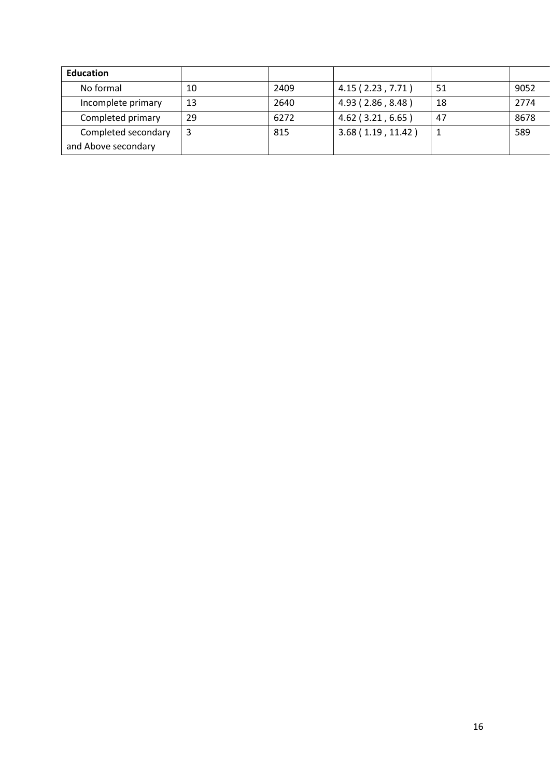| <b>Education</b>    |    |      |                     |    |      |
|---------------------|----|------|---------------------|----|------|
| No formal           | 10 | 2409 | 4.15(2.23, 7.71)    | 51 | 9052 |
| Incomplete primary  | 13 | 2640 | 4.93 (2.86, 8.48)   | 18 | 2774 |
| Completed primary   | 29 | 6272 | $4.62$ (3.21, 6.65) | 47 | 8678 |
| Completed secondary |    | 815  | 3.68(1.19, 11.42)   |    | 589  |
| and Above secondary |    |      |                     |    |      |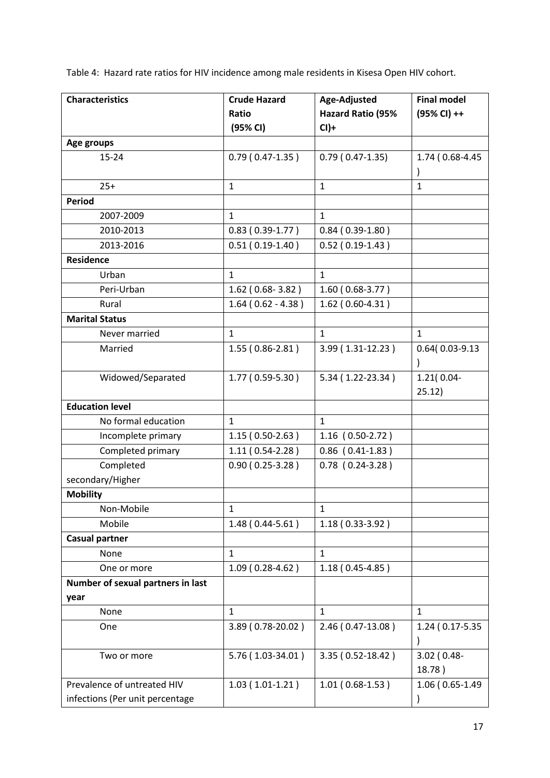Table 4: Hazard rate ratios for HIV incidence among male residents in Kisesa Open HIV cohort.

| <b>Characteristics</b>            | <b>Crude Hazard</b> | Age-Adjusted             | <b>Final model</b> |
|-----------------------------------|---------------------|--------------------------|--------------------|
|                                   | Ratio               | <b>Hazard Ratio (95%</b> | (95% CI) ++        |
|                                   | (95% CI)            | $Cl$ )+                  |                    |
| Age groups                        |                     |                          |                    |
| 15-24                             | $0.79(0.47-1.35)$   | $0.79(0.47-1.35)$        | 1.74 (0.68-4.45)   |
|                                   |                     |                          |                    |
| $25+$                             | $\mathbf{1}$        | $\mathbf{1}$             | $\mathbf{1}$       |
| <b>Period</b>                     |                     |                          |                    |
| 2007-2009                         | $\mathbf{1}$        | $\mathbf{1}$             |                    |
| 2010-2013                         | $0.83(0.39-1.77)$   | $0.84(0.39-1.80)$        |                    |
| 2013-2016                         | $0.51(0.19-1.40)$   | $0.52(0.19-1.43)$        |                    |
| <b>Residence</b>                  |                     |                          |                    |
| Urban                             | $\mathbf{1}$        | $\mathbf{1}$             |                    |
| Peri-Urban                        | 1.62 (0.68-3.82)    | $1.60(0.68-3.77)$        |                    |
| Rural                             | $1.64(0.62 - 4.38)$ | $1.62(0.60-4.31)$        |                    |
| <b>Marital Status</b>             |                     |                          |                    |
| Never married                     | $\mathbf{1}$        | $\mathbf{1}$             | $\mathbf{1}$       |
| Married                           | $1.55(0.86-2.81)$   | 3.99 (1.31-12.23)        | 0.64(0.03-9.13     |
|                                   |                     |                          |                    |
| Widowed/Separated                 | 1.77 (0.59-5.30)    | 5.34 (1.22-23.34)        | 1.21(0.04-         |
|                                   |                     |                          | 25.12)             |
| <b>Education level</b>            |                     |                          |                    |
| No formal education               | $\mathbf{1}$        | $\mathbf{1}$             |                    |
| Incomplete primary                | $1.15(0.50-2.63)$   | $1.16$ (0.50-2.72)       |                    |
| Completed primary                 | $1.11(0.54-2.28)$   | $0.86$ (0.41-1.83)       |                    |
| Completed                         | $0.90(0.25-3.28)$   | $0.78$ (0.24-3.28)       |                    |
| secondary/Higher                  |                     |                          |                    |
| <b>Mobility</b>                   |                     |                          |                    |
| Non-Mobile                        | 1                   | $\mathbf{1}$             |                    |
| Mobile                            | $1.48(0.44-5.61)$   | $1.18(0.33-3.92)$        |                    |
| <b>Casual partner</b>             |                     |                          |                    |
| None                              | $\mathbf{1}$        | $\mathbf{1}$             |                    |
| One or more                       | $1.09(0.28-4.62)$   | $1.18(0.45-4.85)$        |                    |
| Number of sexual partners in last |                     |                          |                    |
| year                              |                     |                          |                    |
| None                              | $\mathbf{1}$        | $\mathbf{1}$             | $\mathbf{1}$       |
| One                               | 3.89 (0.78-20.02)   | 2.46 (0.47-13.08)        | 1.24 (0.17-5.35)   |
|                                   |                     |                          | $\mathcal{E}$      |
| Two or more                       | 5.76 (1.03-34.01)   | 3.35 (0.52-18.42)        | $3.02$ (0.48-      |
|                                   |                     |                          | 18.78)             |
| Prevalence of untreated HIV       | $1.03(1.01-1.21)$   | $1.01(0.68-1.53)$        | 1.06 (0.65-1.49    |
| infections (Per unit percentage   |                     |                          |                    |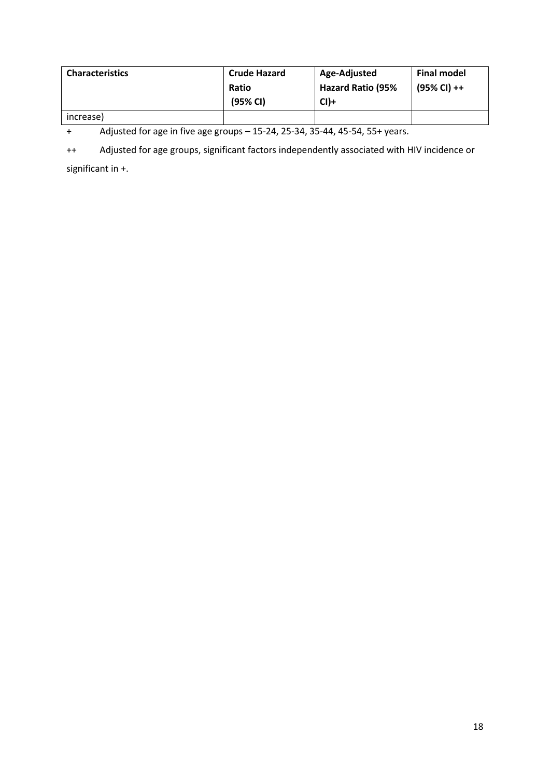| <b>Characteristics</b> | <b>Crude Hazard</b> | Age-Adjusted             | <b>Final model</b> |
|------------------------|---------------------|--------------------------|--------------------|
|                        | Ratio               | <b>Hazard Ratio (95%</b> | (95% CI) ++        |
|                        | (95% CI)            | $Cl$ )+                  |                    |
| increase)              |                     |                          |                    |

+ Adjusted for age in five age groups – 15-24, 25-34, 35-44, 45-54, 55+ years.

++ Adjusted for age groups, significant factors independently associated with HIV incidence or

significant in +.